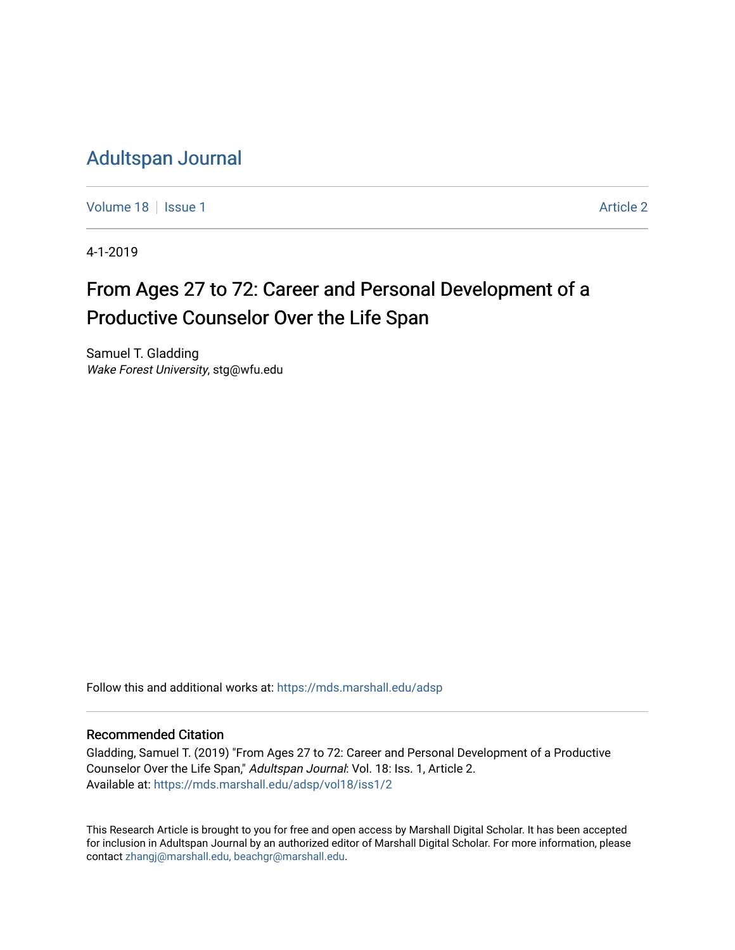# [Adultspan Journal](https://mds.marshall.edu/adsp)

[Volume 18](https://mds.marshall.edu/adsp/vol18) | [Issue 1](https://mds.marshall.edu/adsp/vol18/iss1) [Article 2](https://mds.marshall.edu/adsp/vol18/iss1/2) Article 2 Article 2 Article 2 Article 2 Article 2 Article 2 Article 2 Article 2

4-1-2019

# From Ages 27 to 72: Career and Personal Development of a Productive Counselor Over the Life Span

Samuel T. Gladding Wake Forest University, stg@wfu.edu

Follow this and additional works at: [https://mds.marshall.edu/adsp](https://mds.marshall.edu/adsp?utm_source=mds.marshall.edu%2Fadsp%2Fvol18%2Fiss1%2F2&utm_medium=PDF&utm_campaign=PDFCoverPages) 

## Recommended Citation

Gladding, Samuel T. (2019) "From Ages 27 to 72: Career and Personal Development of a Productive Counselor Over the Life Span," Adultspan Journal: Vol. 18: Iss. 1, Article 2. Available at: [https://mds.marshall.edu/adsp/vol18/iss1/2](https://mds.marshall.edu/adsp/vol18/iss1/2?utm_source=mds.marshall.edu%2Fadsp%2Fvol18%2Fiss1%2F2&utm_medium=PDF&utm_campaign=PDFCoverPages) 

This Research Article is brought to you for free and open access by Marshall Digital Scholar. It has been accepted for inclusion in Adultspan Journal by an authorized editor of Marshall Digital Scholar. For more information, please contact [zhangj@marshall.edu, beachgr@marshall.edu](mailto:zhangj@marshall.edu,%20beachgr@marshall.edu).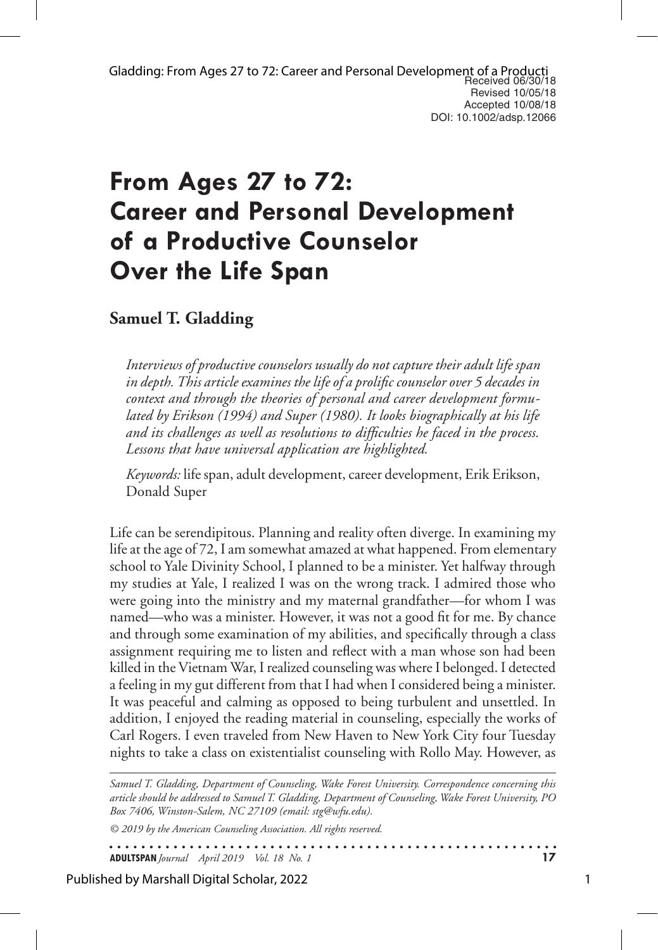# **From Ages 27 to 72: Career and Personal Development of a Productive Counselor Over the Life Span**

**Samuel T. Gladding**

*Interviews of productive counselors usually do not capture their adult life span in depth. This article examines the life of a prolific counselor over 5 decades in context and through the theories of personal and career development formulated by Erikson (1994) and Super (1980). It looks biographically at his life and its challenges as well as resolutions to difficulties he faced in the process. Lessons that have universal application are highlighted.* 

*Keywords:* life span, adult development, career development, Erik Erikson, Donald Super

Life can be serendipitous. Planning and reality often diverge. In examining my life at the age of 72, I am somewhat amazed at what happened. From elementary school to Yale Divinity School, I planned to be a minister. Yet halfway through my studies at Yale, I realized I was on the wrong track. I admired those who were going into the ministry and my maternal grandfather—for whom I was named—who was a minister. However, it was not a good fit for me. By chance and through some examination of my abilities, and specifically through a class assignment requiring me to listen and reflect with a man whose son had been killed in the Vietnam War, I realized counseling was where I belonged. I detected a feeling in my gut different from that I had when I considered being a minister. It was peaceful and calming as opposed to being turbulent and unsettled. In addition, I enjoyed the reading material in counseling, especially the works of Carl Rogers. I even traveled from New Haven to New York City four Tuesday nights to take a class on existentialist counseling with Rollo May. However, as

*Samuel T. Gladding, Department of Counseling, Wake Forest University. Correspondence concerning this article should be addressed to Samuel T. Gladding, Department of Counseling, Wake Forest University, PO Box 7406, Winston-Salem, NC 27109 (email: stg@wfu.edu).*

*© 2019 by the American Counseling Association. All rights reserved.*

**ADULTSPAN***Journal April 2019 Vol. 18 No. 1* **17**

Published by Marshall Digital Scholar, 2022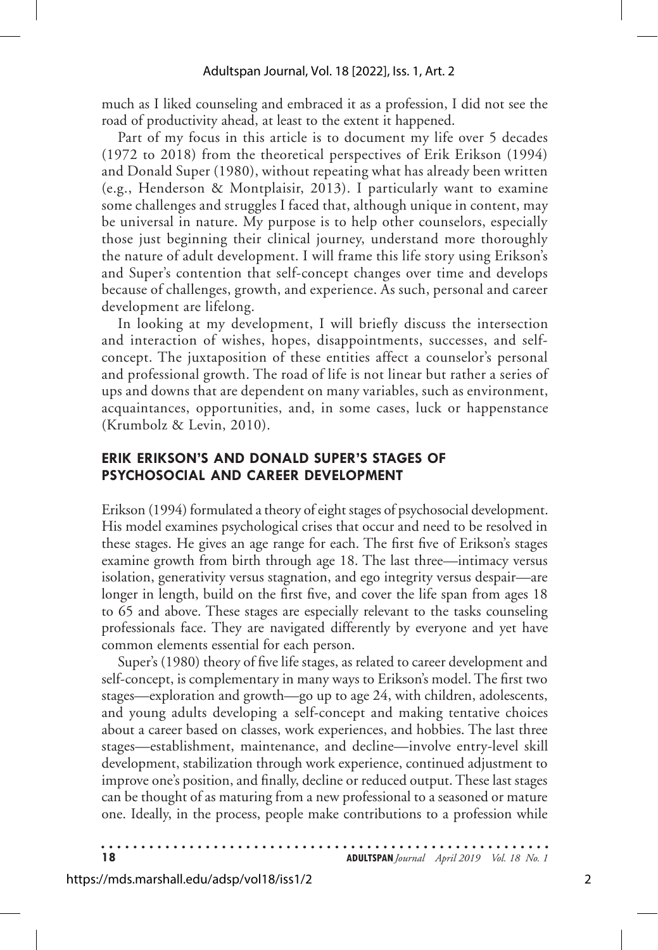much as I liked counseling and embraced it as a profession, I did not see the road of productivity ahead, at least to the extent it happened.

Part of my focus in this article is to document my life over 5 decades (1972 to 2018) from the theoretical perspectives of Erik Erikson (1994) and Donald Super (1980), without repeating what has already been written (e.g., Henderson & Montplaisir, 2013). I particularly want to examine some challenges and struggles I faced that, although unique in content, may be universal in nature. My purpose is to help other counselors, especially those just beginning their clinical journey, understand more thoroughly the nature of adult development. I will frame this life story using Erikson's and Super's contention that self-concept changes over time and develops because of challenges, growth, and experience. As such, personal and career development are lifelong.

In looking at my development, I will briefly discuss the intersection and interaction of wishes, hopes, disappointments, successes, and selfconcept. The juxtaposition of these entities affect a counselor's personal and professional growth. The road of life is not linear but rather a series of ups and downs that are dependent on many variables, such as environment, acquaintances, opportunities, and, in some cases, luck or happenstance (Krumbolz & Levin, 2010).

### **ERIK ERIKSON'S AND DONALD SUPER'S STAGES OF PSYCHOSOCIAL AND CAREER DEVELOPMENT**

Erikson (1994) formulated a theory of eight stages of psychosocial development. His model examines psychological crises that occur and need to be resolved in these stages. He gives an age range for each. The first five of Erikson's stages examine growth from birth through age 18. The last three—intimacy versus isolation, generativity versus stagnation, and ego integrity versus despair—are longer in length, build on the first five, and cover the life span from ages 18 to 65 and above. These stages are especially relevant to the tasks counseling professionals face. They are navigated differently by everyone and yet have common elements essential for each person.

Super's (1980) theory of five life stages, as related to career development and self-concept, is complementary in many ways to Erikson's model. The first two stages—exploration and growth—go up to age 24, with children, adolescents, and young adults developing a self-concept and making tentative choices about a career based on classes, work experiences, and hobbies. The last three stages—establishment, maintenance, and decline—involve entry-level skill development, stabilization through work experience, continued adjustment to improve one's position, and finally, decline or reduced output. These last stages can be thought of as maturing from a new professional to a seasoned or mature one. Ideally, in the process, people make contributions to a profession while

**18 ADULTSPAN***Journal April 2019 Vol. 18 No. 1*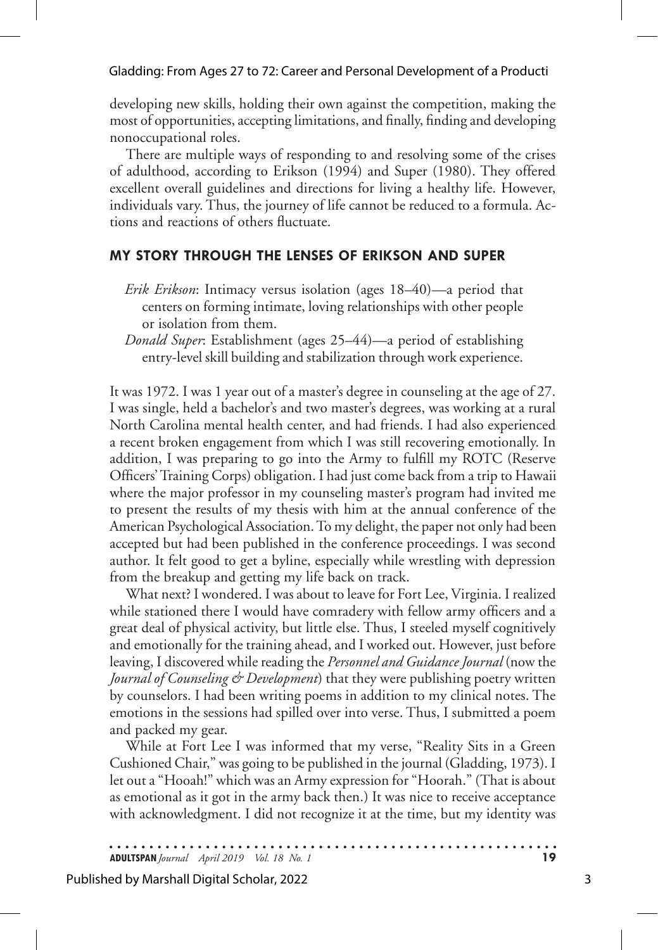developing new skills, holding their own against the competition, making the most of opportunities, accepting limitations, and finally, finding and developing nonoccupational roles.

There are multiple ways of responding to and resolving some of the crises of adulthood, according to Erikson (1994) and Super (1980). They offered excellent overall guidelines and directions for living a healthy life. However, individuals vary. Thus, the journey of life cannot be reduced to a formula. Actions and reactions of others fluctuate.

# **MY STORY THROUGH THE LENSES OF ERIKSON AND SUPER**

*Erik Erikson*: Intimacy versus isolation (ages 18–40)—a period that centers on forming intimate, loving relationships with other people or isolation from them.

*Donald Super*: Establishment (ages 25–44)—a period of establishing entry-level skill building and stabilization through work experience.

It was 1972. I was 1 year out of a master's degree in counseling at the age of 27. I was single, held a bachelor's and two master's degrees, was working at a rural North Carolina mental health center, and had friends. I had also experienced a recent broken engagement from which I was still recovering emotionally. In addition, I was preparing to go into the Army to fulfill my ROTC (Reserve Officers' Training Corps) obligation. I had just come back from a trip to Hawaii where the major professor in my counseling master's program had invited me to present the results of my thesis with him at the annual conference of the American Psychological Association. To my delight, the paper not only had been accepted but had been published in the conference proceedings. I was second author. It felt good to get a byline, especially while wrestling with depression from the breakup and getting my life back on track.

What next? I wondered. I was about to leave for Fort Lee, Virginia. I realized while stationed there I would have comradery with fellow army officers and a great deal of physical activity, but little else. Thus, I steeled myself cognitively and emotionally for the training ahead, and I worked out. However, just before leaving, I discovered while reading the *Personnel and Guidance Journal* (now the *Journal of Counseling & Development*) that they were publishing poetry written by counselors. I had been writing poems in addition to my clinical notes. The emotions in the sessions had spilled over into verse. Thus, I submitted a poem and packed my gear.

While at Fort Lee I was informed that my verse, "Reality Sits in a Green Cushioned Chair," was going to be published in the journal (Gladding, 1973). I let out a "Hooah!" which was an Army expression for "Hoorah." (That is about as emotional as it got in the army back then.) It was nice to receive acceptance with acknowledgment. I did not recognize it at the time, but my identity was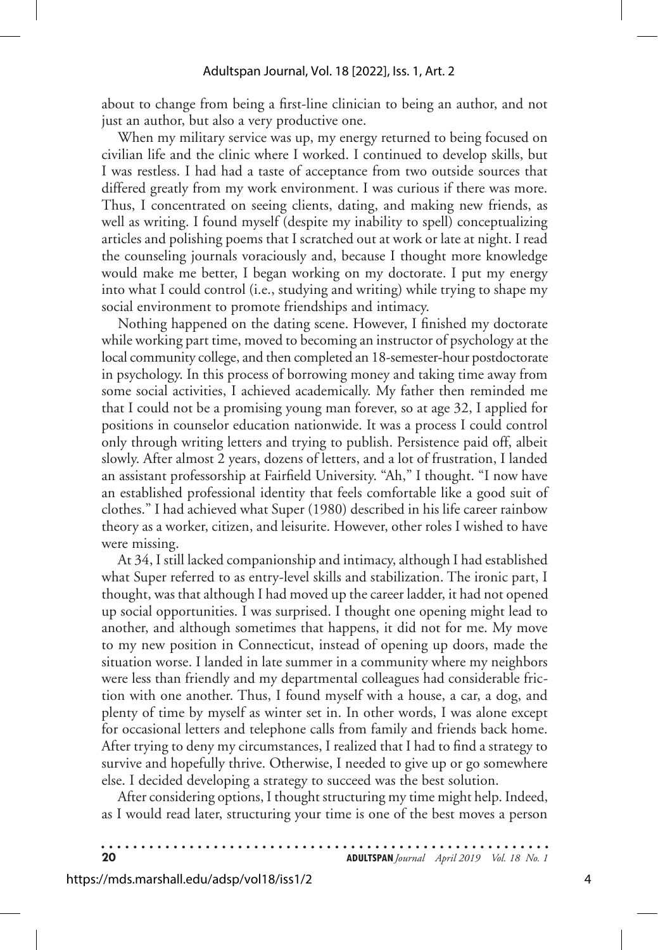about to change from being a first-line clinician to being an author, and not just an author, but also a very productive one.

When my military service was up, my energy returned to being focused on civilian life and the clinic where I worked. I continued to develop skills, but I was restless. I had had a taste of acceptance from two outside sources that differed greatly from my work environment. I was curious if there was more. Thus, I concentrated on seeing clients, dating, and making new friends, as well as writing. I found myself (despite my inability to spell) conceptualizing articles and polishing poems that I scratched out at work or late at night. I read the counseling journals voraciously and, because I thought more knowledge would make me better, I began working on my doctorate. I put my energy into what I could control (i.e., studying and writing) while trying to shape my social environment to promote friendships and intimacy.

Nothing happened on the dating scene. However, I finished my doctorate while working part time, moved to becoming an instructor of psychology at the local community college, and then completed an 18-semester-hour postdoctorate in psychology. In this process of borrowing money and taking time away from some social activities, I achieved academically. My father then reminded me that I could not be a promising young man forever, so at age 32, I applied for positions in counselor education nationwide. It was a process I could control only through writing letters and trying to publish. Persistence paid off, albeit slowly. After almost 2 years, dozens of letters, and a lot of frustration, I landed an assistant professorship at Fairfield University. "Ah," I thought. "I now have an established professional identity that feels comfortable like a good suit of clothes." I had achieved what Super (1980) described in his life career rainbow theory as a worker, citizen, and leisurite. However, other roles I wished to have were missing.

At 34, I still lacked companionship and intimacy, although I had established what Super referred to as entry-level skills and stabilization. The ironic part, I thought, was that although I had moved up the career ladder, it had not opened up social opportunities. I was surprised. I thought one opening might lead to another, and although sometimes that happens, it did not for me. My move to my new position in Connecticut, instead of opening up doors, made the situation worse. I landed in late summer in a community where my neighbors were less than friendly and my departmental colleagues had considerable friction with one another. Thus, I found myself with a house, a car, a dog, and plenty of time by myself as winter set in. In other words, I was alone except for occasional letters and telephone calls from family and friends back home. After trying to deny my circumstances, I realized that I had to find a strategy to survive and hopefully thrive. Otherwise, I needed to give up or go somewhere else. I decided developing a strategy to succeed was the best solution.

After considering options, I thought structuring my time might help. Indeed, as I would read later, structuring your time is one of the best moves a person

**20 ADULTSPAN***Journal April 2019 Vol. 18 No. 1*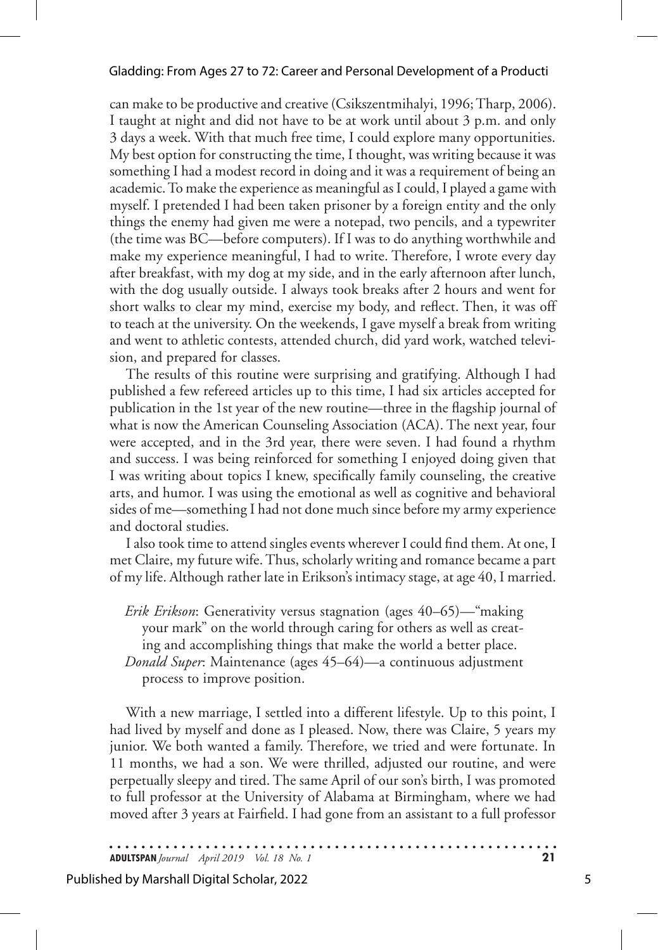#### Gladding: From Ages 27 to 72: Career and Personal Development of a Producti

can make to be productive and creative (Csikszentmihalyi, 1996; Tharp, 2006). I taught at night and did not have to be at work until about 3 p.m. and only 3 days a week. With that much free time, I could explore many opportunities. My best option for constructing the time, I thought, was writing because it was something I had a modest record in doing and it was a requirement of being an academic. To make the experience as meaningful as I could, I played a game with myself. I pretended I had been taken prisoner by a foreign entity and the only things the enemy had given me were a notepad, two pencils, and a typewriter (the time was BC—before computers). If I was to do anything worthwhile and make my experience meaningful, I had to write. Therefore, I wrote every day after breakfast, with my dog at my side, and in the early afternoon after lunch, with the dog usually outside. I always took breaks after 2 hours and went for short walks to clear my mind, exercise my body, and reflect. Then, it was off to teach at the university. On the weekends, I gave myself a break from writing and went to athletic contests, attended church, did yard work, watched television, and prepared for classes.

The results of this routine were surprising and gratifying. Although I had published a few refereed articles up to this time, I had six articles accepted for publication in the 1st year of the new routine—three in the flagship journal of what is now the American Counseling Association (ACA). The next year, four were accepted, and in the 3rd year, there were seven. I had found a rhythm and success. I was being reinforced for something I enjoyed doing given that I was writing about topics I knew, specifically family counseling, the creative arts, and humor. I was using the emotional as well as cognitive and behavioral sides of me—something I had not done much since before my army experience and doctoral studies.

I also took time to attend singles events wherever I could find them. At one, I met Claire, my future wife. Thus, scholarly writing and romance became a part of my life. Although rather late in Erikson's intimacy stage, at age 40, I married.

*Erik Erikson*: Generativity versus stagnation (ages 40–65)—"making your mark" on the world through caring for others as well as creating and accomplishing things that make the world a better place. *Donald Super*: Maintenance (ages 45–64)—a continuous adjustment process to improve position.

With a new marriage, I settled into a different lifestyle. Up to this point, I had lived by myself and done as I pleased. Now, there was Claire, 5 years my junior. We both wanted a family. Therefore, we tried and were fortunate. In 11 months, we had a son. We were thrilled, adjusted our routine, and were perpetually sleepy and tired. The same April of our son's birth, I was promoted to full professor at the University of Alabama at Birmingham, where we had moved after 3 years at Fairfield. I had gone from an assistant to a full professor

**ADULTSPAN***Journal April 2019 Vol. 18 No. 1* **21**

#### Published by Marshall Digital Scholar, 2022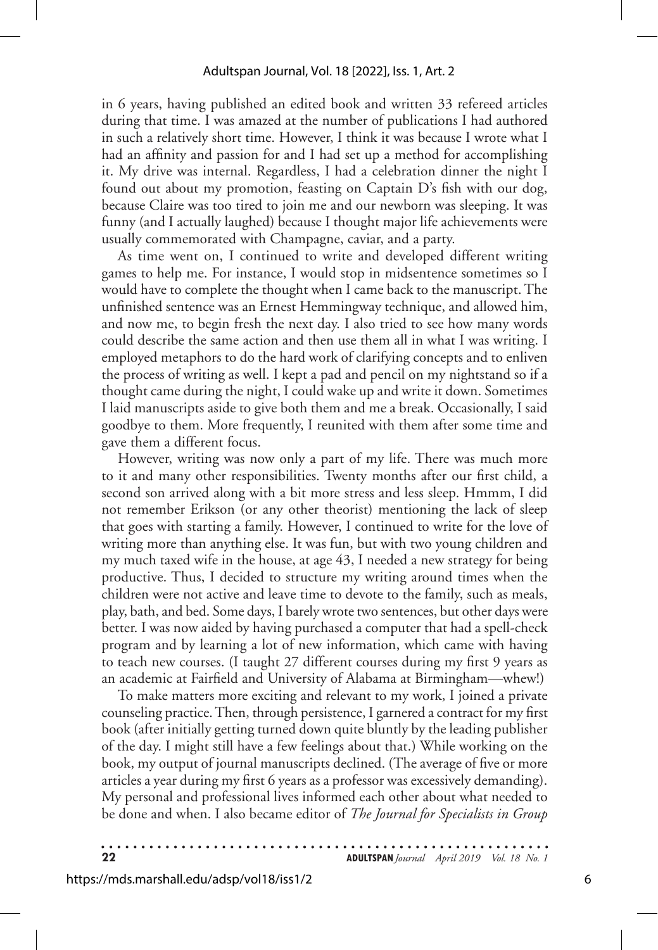in 6 years, having published an edited book and written 33 refereed articles during that time. I was amazed at the number of publications I had authored in such a relatively short time. However, I think it was because I wrote what I had an affinity and passion for and I had set up a method for accomplishing it. My drive was internal. Regardless, I had a celebration dinner the night I found out about my promotion, feasting on Captain D's fish with our dog, because Claire was too tired to join me and our newborn was sleeping. It was funny (and I actually laughed) because I thought major life achievements were usually commemorated with Champagne, caviar, and a party.

As time went on, I continued to write and developed different writing games to help me. For instance, I would stop in midsentence sometimes so I would have to complete the thought when I came back to the manuscript. The unfinished sentence was an Ernest Hemmingway technique, and allowed him, and now me, to begin fresh the next day. I also tried to see how many words could describe the same action and then use them all in what I was writing. I employed metaphors to do the hard work of clarifying concepts and to enliven the process of writing as well. I kept a pad and pencil on my nightstand so if a thought came during the night, I could wake up and write it down. Sometimes I laid manuscripts aside to give both them and me a break. Occasionally, I said goodbye to them. More frequently, I reunited with them after some time and gave them a different focus.

However, writing was now only a part of my life. There was much more to it and many other responsibilities. Twenty months after our first child, a second son arrived along with a bit more stress and less sleep. Hmmm, I did not remember Erikson (or any other theorist) mentioning the lack of sleep that goes with starting a family. However, I continued to write for the love of writing more than anything else. It was fun, but with two young children and my much taxed wife in the house, at age 43, I needed a new strategy for being productive. Thus, I decided to structure my writing around times when the children were not active and leave time to devote to the family, such as meals, play, bath, and bed. Some days, I barely wrote two sentences, but other days were better. I was now aided by having purchased a computer that had a spell-check program and by learning a lot of new information, which came with having to teach new courses. (I taught 27 different courses during my first 9 years as an academic at Fairfield and University of Alabama at Birmingham—whew!)

To make matters more exciting and relevant to my work, I joined a private counseling practice. Then, through persistence, I garnered a contract for my first book (after initially getting turned down quite bluntly by the leading publisher of the day. I might still have a few feelings about that.) While working on the book, my output of journal manuscripts declined. (The average of five or more articles a year during my first 6 years as a professor was excessively demanding). My personal and professional lives informed each other about what needed to be done and when. I also became editor of *The Journal for Specialists in Group* 

**22 ADULTSPAN***Journal April 2019 Vol. 18 No. 1*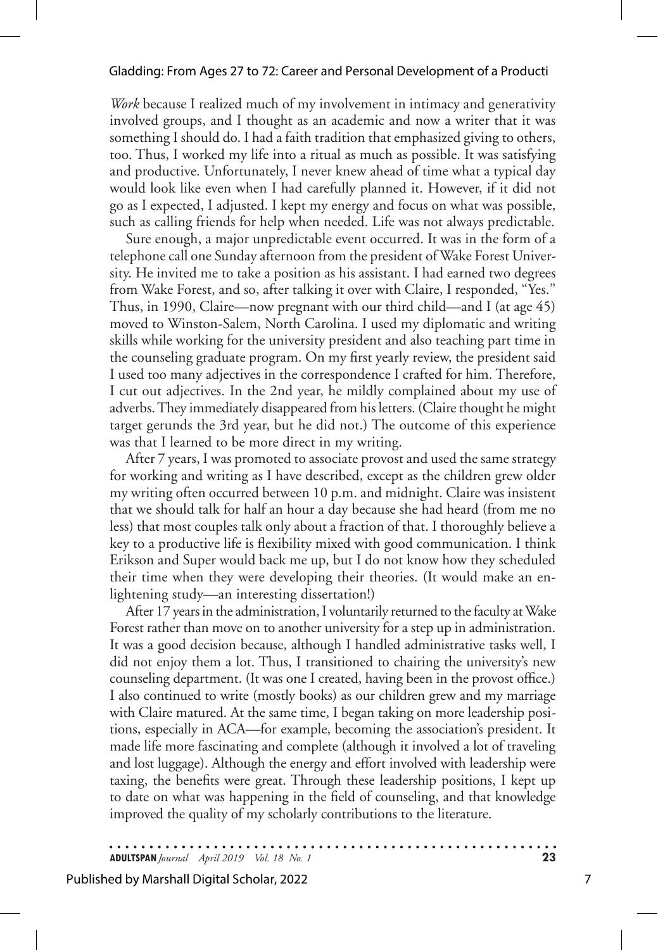#### Gladding: From Ages 27 to 72: Career and Personal Development of a Producti

*Work* because I realized much of my involvement in intimacy and generativity involved groups, and I thought as an academic and now a writer that it was something I should do. I had a faith tradition that emphasized giving to others, too. Thus, I worked my life into a ritual as much as possible. It was satisfying and productive. Unfortunately, I never knew ahead of time what a typical day would look like even when I had carefully planned it. However, if it did not go as I expected, I adjusted. I kept my energy and focus on what was possible, such as calling friends for help when needed. Life was not always predictable.

Sure enough, a major unpredictable event occurred. It was in the form of a telephone call one Sunday afternoon from the president of Wake Forest University. He invited me to take a position as his assistant. I had earned two degrees from Wake Forest, and so, after talking it over with Claire, I responded, "Yes." Thus, in 1990, Claire—now pregnant with our third child—and I (at age 45) moved to Winston-Salem, North Carolina. I used my diplomatic and writing skills while working for the university president and also teaching part time in the counseling graduate program. On my first yearly review, the president said I used too many adjectives in the correspondence I crafted for him. Therefore, I cut out adjectives. In the 2nd year, he mildly complained about my use of adverbs. They immediately disappeared from his letters. (Claire thought he might target gerunds the 3rd year, but he did not.) The outcome of this experience was that I learned to be more direct in my writing.

After 7 years, I was promoted to associate provost and used the same strategy for working and writing as I have described, except as the children grew older my writing often occurred between 10 p.m. and midnight. Claire was insistent that we should talk for half an hour a day because she had heard (from me no less) that most couples talk only about a fraction of that. I thoroughly believe a key to a productive life is flexibility mixed with good communication. I think Erikson and Super would back me up, but I do not know how they scheduled their time when they were developing their theories. (It would make an enlightening study—an interesting dissertation!)

After 17 years in the administration, I voluntarily returned to the faculty at Wake Forest rather than move on to another university for a step up in administration. It was a good decision because, although I handled administrative tasks well, I did not enjoy them a lot. Thus, I transitioned to chairing the university's new counseling department. (It was one I created, having been in the provost office.) I also continued to write (mostly books) as our children grew and my marriage with Claire matured. At the same time, I began taking on more leadership positions, especially in ACA—for example, becoming the association's president. It made life more fascinating and complete (although it involved a lot of traveling and lost luggage). Although the energy and effort involved with leadership were taxing, the benefits were great. Through these leadership positions, I kept up to date on what was happening in the field of counseling, and that knowledge improved the quality of my scholarly contributions to the literature.

**ADULTSPAN***Journal April 2019 Vol. 18 No. 1* **23**

7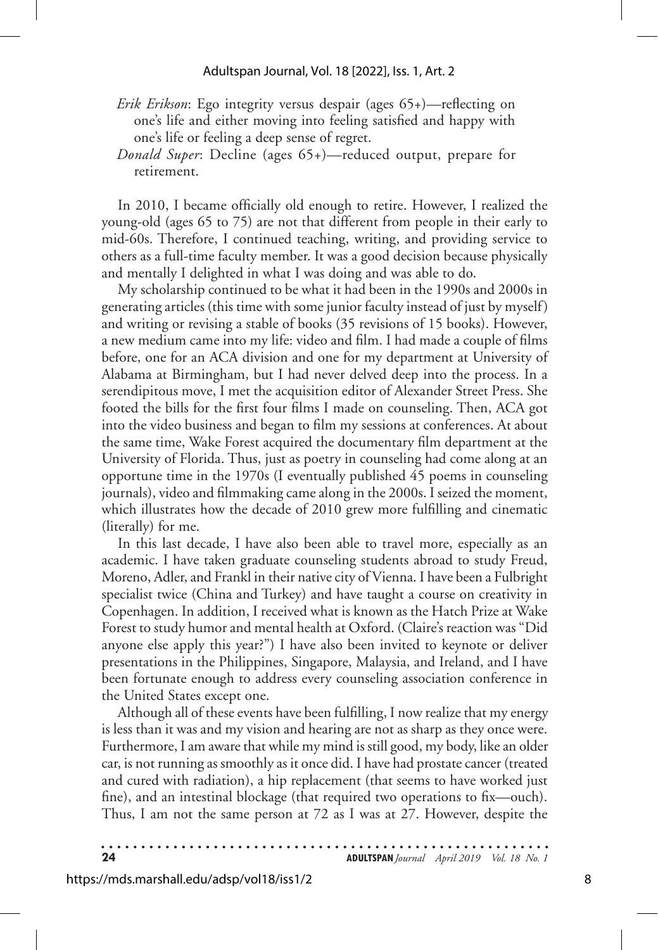- *Erik Erikson*: Ego integrity versus despair (ages 65+)—reflecting on one's life and either moving into feeling satisfied and happy with one's life or feeling a deep sense of regret.
- *Donald Super*: Decline (ages 65+)—reduced output, prepare for retirement.

In 2010, I became officially old enough to retire. However, I realized the young-old (ages 65 to 75) are not that different from people in their early to mid-60s. Therefore, I continued teaching, writing, and providing service to others as a full-time faculty member. It was a good decision because physically and mentally I delighted in what I was doing and was able to do.

My scholarship continued to be what it had been in the 1990s and 2000s in generating articles (this time with some junior faculty instead of just by myself) and writing or revising a stable of books (35 revisions of 15 books). However, a new medium came into my life: video and film. I had made a couple of films before, one for an ACA division and one for my department at University of Alabama at Birmingham, but I had never delved deep into the process. In a serendipitous move, I met the acquisition editor of Alexander Street Press. She footed the bills for the first four films I made on counseling. Then, ACA got into the video business and began to film my sessions at conferences. At about the same time, Wake Forest acquired the documentary film department at the University of Florida. Thus, just as poetry in counseling had come along at an opportune time in the 1970s (I eventually published 45 poems in counseling journals), video and filmmaking came along in the 2000s. I seized the moment, which illustrates how the decade of 2010 grew more fulfilling and cinematic (literally) for me.

In this last decade, I have also been able to travel more, especially as an academic. I have taken graduate counseling students abroad to study Freud, Moreno, Adler, and Frankl in their native city of Vienna. I have been a Fulbright specialist twice (China and Turkey) and have taught a course on creativity in Copenhagen. In addition, I received what is known as the Hatch Prize at Wake Forest to study humor and mental health at Oxford. (Claire's reaction was "Did anyone else apply this year?") I have also been invited to keynote or deliver presentations in the Philippines, Singapore, Malaysia, and Ireland, and I have been fortunate enough to address every counseling association conference in the United States except one.

Although all of these events have been fulfilling, I now realize that my energy is less than it was and my vision and hearing are not as sharp as they once were. Furthermore, I am aware that while my mind is still good, my body, like an older car, is not running as smoothly as it once did. I have had prostate cancer (treated and cured with radiation), a hip replacement (that seems to have worked just fine), and an intestinal blockage (that required two operations to fix—ouch). Thus, I am not the same person at 72 as I was at 27. However, despite the

| - 24 | <b>ADULTSPAN</b> Journal April 2019 Vol. 18 No. 1 |  |
|------|---------------------------------------------------|--|
|      |                                                   |  |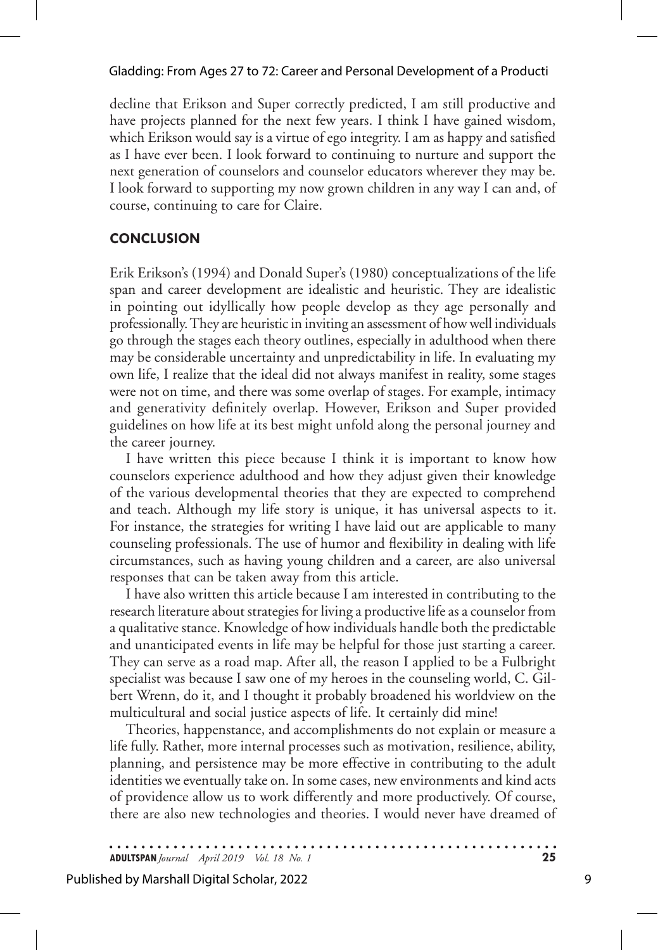#### Gladding: From Ages 27 to 72: Career and Personal Development of a Producti

decline that Erikson and Super correctly predicted, I am still productive and have projects planned for the next few years. I think I have gained wisdom, which Erikson would say is a virtue of ego integrity. I am as happy and satisfied as I have ever been. I look forward to continuing to nurture and support the next generation of counselors and counselor educators wherever they may be. I look forward to supporting my now grown children in any way I can and, of course, continuing to care for Claire.

### **CONCLUSION**

Erik Erikson's (1994) and Donald Super's (1980) conceptualizations of the life span and career development are idealistic and heuristic. They are idealistic in pointing out idyllically how people develop as they age personally and professionally. They are heuristic in inviting an assessment of how well individuals go through the stages each theory outlines, especially in adulthood when there may be considerable uncertainty and unpredictability in life. In evaluating my own life, I realize that the ideal did not always manifest in reality, some stages were not on time, and there was some overlap of stages. For example, intimacy and generativity definitely overlap. However, Erikson and Super provided guidelines on how life at its best might unfold along the personal journey and the career journey.

I have written this piece because I think it is important to know how counselors experience adulthood and how they adjust given their knowledge of the various developmental theories that they are expected to comprehend and teach. Although my life story is unique, it has universal aspects to it. For instance, the strategies for writing I have laid out are applicable to many counseling professionals. The use of humor and flexibility in dealing with life circumstances, such as having young children and a career, are also universal responses that can be taken away from this article.

I have also written this article because I am interested in contributing to the research literature about strategies for living a productive life as a counselor from a qualitative stance. Knowledge of how individuals handle both the predictable and unanticipated events in life may be helpful for those just starting a career. They can serve as a road map. After all, the reason I applied to be a Fulbright specialist was because I saw one of my heroes in the counseling world, C. Gilbert Wrenn, do it, and I thought it probably broadened his worldview on the multicultural and social justice aspects of life. It certainly did mine!

Theories, happenstance, and accomplishments do not explain or measure a life fully. Rather, more internal processes such as motivation, resilience, ability, planning, and persistence may be more effective in contributing to the adult identities we eventually take on. In some cases, new environments and kind acts of providence allow us to work differently and more productively. Of course, there are also new technologies and theories. I would never have dreamed of